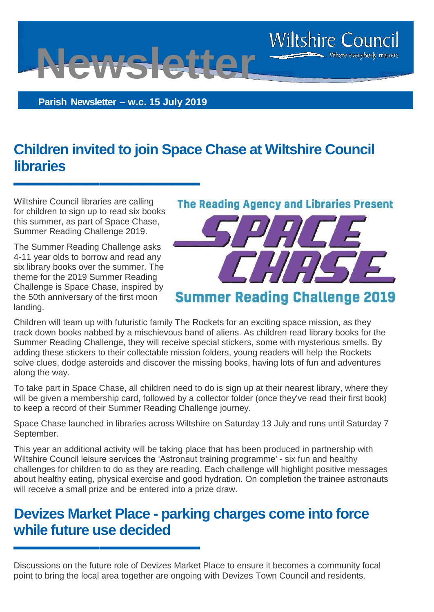**Parish Newsletter – w.c. 15 July 2019**

**Newsletter**

# **Children invited to join Space Chase at Wiltshire Council libraries**

Wiltshire Council libraries are calling for children to sign up to read six books this summer, as part of Space Chase, Summer Reading Challenge 2019.

**▬▬▬▬▬▬▬▬▬▬▬▬▬**

The Summer Reading Challenge asks 4-11 year olds to borrow and read any six library books over the summer. The theme for the 2019 Summer Reading Challenge is Space Chase, inspired by the 50th anniversary of the first moon landing.

**▬▬▬▬▬▬▬▬▬▬▬▬▬**



**Wiltshire Council** 

Where everybody matters

Children will team up with futuristic family The Rockets for an exciting space mission, as they track down books nabbed by a mischievous band of aliens. As children read library books for the Summer Reading Challenge, they will receive special stickers, some with mysterious smells. By adding these stickers to their collectable mission folders, young readers will help the Rockets solve clues, dodge asteroids and discover the missing books, having lots of fun and adventures along the way.

To take part in Space Chase, all children need to do is sign up at their nearest library, where they will be given a membership card, followed by a collector folder (once they've read their first book) to keep a record of their Summer Reading Challenge journey.

Space Chase launched in libraries across Wiltshire on Saturday 13 July and runs until Saturday 7 September.

This year an additional activity will be taking place that has been produced in partnership with Wiltshire Council leisure services the 'Astronaut training programme' - six fun and healthy challenges for children to do as they are reading. Each challenge will highlight positive messages about healthy eating, physical exercise and good hydration. On completion the trainee astronauts will receive a small prize and be entered into a prize draw.

#### **Devizes Market Place - parking charges come into force while future use decided**

Discussions on the future role of Devizes Market Place to ensure it becomes a community focal point to bring the local area together are ongoing with Devizes Town Council and residents.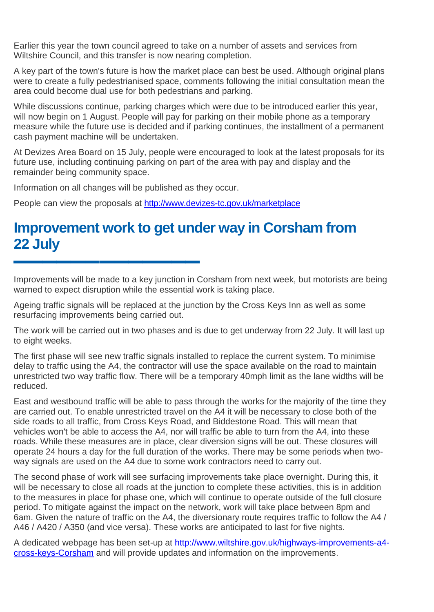Earlier this year the town council agreed to take on a number of assets and services from Wiltshire Council, and this transfer is now nearing completion.

A key part of the town's future is how the market place can best be used. Although original plans were to create a fully pedestrianised space, comments following the initial consultation mean the area could become dual use for both pedestrians and parking.

While discussions continue, parking charges which were due to be introduced earlier this year, will now begin on 1 August. People will pay for parking on their mobile phone as a temporary measure while the future use is decided and if parking continues, the installment of a permanent cash payment machine will be undertaken.

At Devizes Area Board on 15 July, people were encouraged to look at the latest proposals for its future use, including continuing parking on part of the area with pay and display and the remainder being community space.

Information on all changes will be published as they occur.

**▬▬▬▬▬▬▬▬▬▬▬▬▬**

People can view the proposals at <http://www.devizes-tc.gov.uk/marketplace>

### **Improvement work to get under way in Corsham from 22 July**

Improvements will be made to a key junction in Corsham from next week, but motorists are being warned to expect disruption while the essential work is taking place.

Ageing traffic signals will be replaced at the junction by the Cross Keys Inn as well as some resurfacing improvements being carried out.

The work will be carried out in two phases and is due to get underway from 22 July. It will last up to eight weeks.

The first phase will see new traffic signals installed to replace the current system. To minimise delay to traffic using the A4, the contractor will use the space available on the road to maintain unrestricted two way traffic flow. There will be a temporary 40mph limit as the lane widths will be reduced.

East and westbound traffic will be able to pass through the works for the majority of the time they are carried out. To enable unrestricted travel on the A4 it will be necessary to close both of the side roads to all traffic, from Cross Keys Road, and Biddestone Road. This will mean that vehicles won't be able to access the A4, nor will traffic be able to turn from the A4, into these roads. While these measures are in place, clear diversion signs will be out. These closures will operate 24 hours a day for the full duration of the works. There may be some periods when twoway signals are used on the A4 due to some work contractors need to carry out.

The second phase of work will see surfacing improvements take place overnight. During this, it will be necessary to close all roads at the junction to complete these activities, this is in addition to the measures in place for phase one, which will continue to operate outside of the full closure period. To mitigate against the impact on the network, work will take place between 8pm and 6am. Given the nature of traffic on the A4, the diversionary route requires traffic to follow the A4 / A46 / A420 / A350 (and vice versa). These works are anticipated to last for five nights.

A dedicated webpage has been set-up at [http://www.wiltshire.gov.uk/highways-improvements-a4](http://www.wiltshire.gov.uk/highways-improvements-a4-cross-keys-Corsham) [cross-keys-Corsham](http://www.wiltshire.gov.uk/highways-improvements-a4-cross-keys-Corsham) and will provide updates and information on the improvements.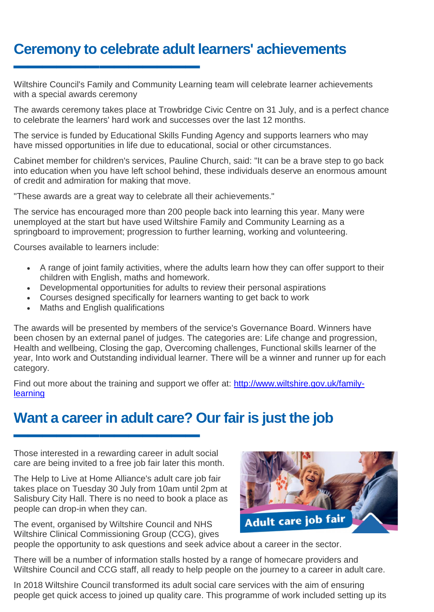# **Ceremony to celebrate adult learners' achievements**

Wiltshire Council's Family and Community Learning team will celebrate learner achievements with a special awards ceremony

The awards ceremony takes place at Trowbridge Civic Centre on 31 July, and is a perfect chance to celebrate the learners' hard work and successes over the last 12 months.

The service is funded by Educational Skills Funding Agency and supports learners who may have missed opportunities in life due to educational, social or other circumstances.

Cabinet member for children's services, Pauline Church, said: "It can be a brave step to go back into education when you have left school behind, these individuals deserve an enormous amount of credit and admiration for making that move.

"These awards are a great way to celebrate all their achievements."

The service has encouraged more than 200 people back into learning this year. Many were unemployed at the start but have used Wiltshire Family and Community Learning as a springboard to improvement; progression to further learning, working and volunteering.

Courses available to learners include:

**▬▬▬▬▬▬▬▬▬▬▬▬▬**

- A range of joint family activities, where the adults learn how they can offer support to their children with English, maths and homework.
- Developmental opportunities for adults to review their personal aspirations
- Courses designed specifically for learners wanting to get back to work
- Maths and English qualifications

The awards will be presented by members of the service's Governance Board. Winners have been chosen by an external panel of judges. The categories are: Life change and progression, Health and wellbeing, Closing the gap, Overcoming challenges, Functional skills learner of the year, Into work and Outstanding individual learner. There will be a winner and runner up for each category.

Find out more about the training and support we offer at: [http://www.wiltshire.gov.uk/family](http://www.wiltshire.gov.uk/family-learning)**[learning](http://www.wiltshire.gov.uk/family-learning)** 

#### **Want a career in adult care? Our fair is just the job**

Those interested in a rewarding career in adult social care are being invited to a free job fair later this month.

**▬▬▬▬▬▬▬▬▬▬▬▬▬**

The Help to Live at Home Alliance's adult care job fair takes place on Tuesday 30 July from 10am until 2pm at Salisbury City Hall. There is no need to book a place as people can drop-in when they can.



The event, organised by Wiltshire Council and NHS Wiltshire Clinical Commissioning Group (CCG), gives people the opportunity to ask questions and seek advice about a career in the sector.

There will be a number of information stalls hosted by a range of homecare providers and Wiltshire Council and CCG staff, all ready to help people on the journey to a career in adult care.

In 2018 Wiltshire Council transformed its adult social care services with the aim of ensuring people get quick access to joined up quality care. This programme of work included setting up its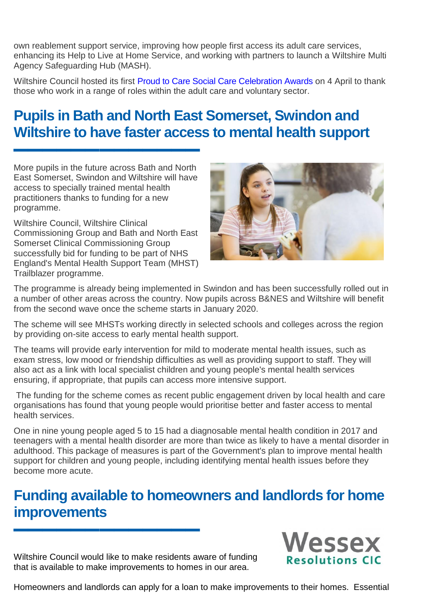own reablement support service, improving how people first access its adult care services, enhancing its Help to Live at Home Service, and working with partners to launch a Wiltshire Multi Agency Safeguarding Hub (MASH).

Wiltshire Council hosted its first [Proud to Care Social Care Celebration Awards](http://www.wiltshire.gov.uk/news/articles/wiltshire-council-celebrates-the-work-of-adult-care-staff-throughout-the-county) on 4 April to thank those who work in a range of roles within the adult care and voluntary sector.

# **Pupils in Bath and North East Somerset, Swindon and Wiltshire to have faster access to mental health support**

More pupils in the future across Bath and North East Somerset, Swindon and Wiltshire will have access to specially trained mental health practitioners thanks to funding for a new programme.

**▬▬▬▬▬▬▬▬▬▬▬▬▬**

Wiltshire Council, Wiltshire Clinical Commissioning Group and Bath and North East Somerset Clinical Commissioning Group successfully bid for funding to be part of NHS England's Mental Health Support Team (MHST) Trailblazer programme.



The programme is already being implemented in Swindon and has been successfully rolled out in a number of other areas across the country. Now pupils across B&NES and Wiltshire will benefit from the second wave once the scheme starts in January 2020.

The scheme will see MHSTs working directly in selected schools and colleges across the region by providing on-site access to early mental health support.

The teams will provide early intervention for mild to moderate mental health issues, such as exam stress, low mood or friendship difficulties as well as providing support to staff. They will also act as a link with local specialist children and young people's mental health services ensuring, if appropriate, that pupils can access more intensive support.

The funding for the scheme comes as recent public engagement driven by local health and care organisations has found that young people would prioritise better and faster access to mental health services.

One in nine young people aged 5 to 15 had a diagnosable mental health condition in 2017 and teenagers with a mental health disorder are more than twice as likely to have a mental disorder in adulthood. This package of measures is part of the Government's plan to improve mental health support for children and young people, including identifying mental health issues before they become more acute.

#### **Funding available to homeowners and landlords for home improvements**

Wiltshire Council would like to make residents aware of funding that is available to make improvements to homes in our area.

**▬▬▬▬▬▬▬▬▬▬▬▬▬**



Homeowners and landlords can apply for a loan to make improvements to their homes. Essential